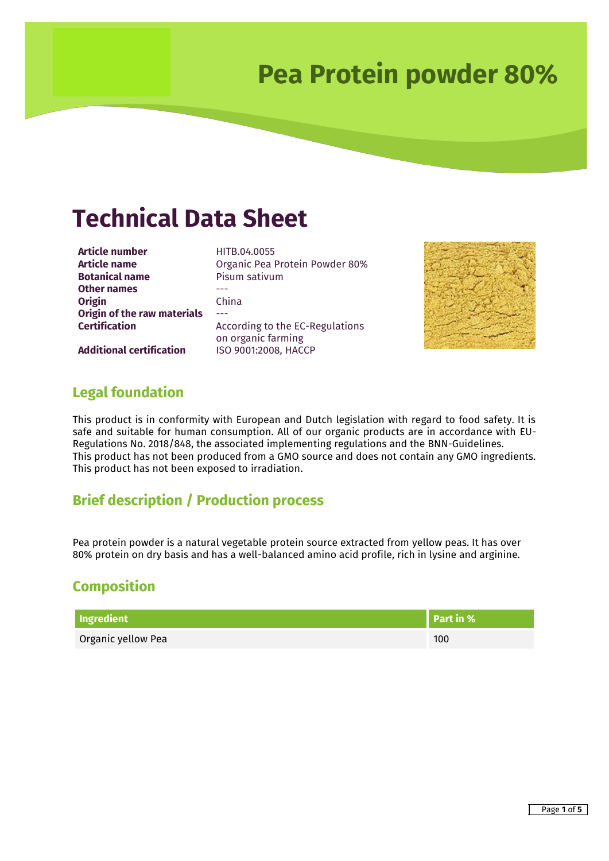### **Technical Data Sheet**

**Article number**<br>**Article name Article name Dreamic Pea F Botanical name** Pisum sativum **Other names** --- **Origin** China **Origin of the raw materials** ---

**Article name** Organic Pea Protein Powder 80% **Certification According to the EC-Regulations** on organic farming



**Additional certification** ISO 9001:2008, HACCP

### **Legal foundation**

This product is in conformity with European and Dutch legislation with regard to food safety. It is safe and suitable for human consumption. All of our organic products are in accordance with EU-Regulations No. 2018/848, the associated implementing regulations and the BNN-Guidelines. This product has not been produced from a GMO source and does not contain any GMO ingredients. This product has not been exposed to irradiation.

### **Brief description / Production process**

Pea protein powder is a natural vegetable protein source extracted from yellow peas. It has over 80% protein on dry basis and has a well-balanced amino acid profile, rich in lysine and arginine.

### **Composition**

| Ingredient         | Part in % |
|--------------------|-----------|
| Organic yellow Pea | 100       |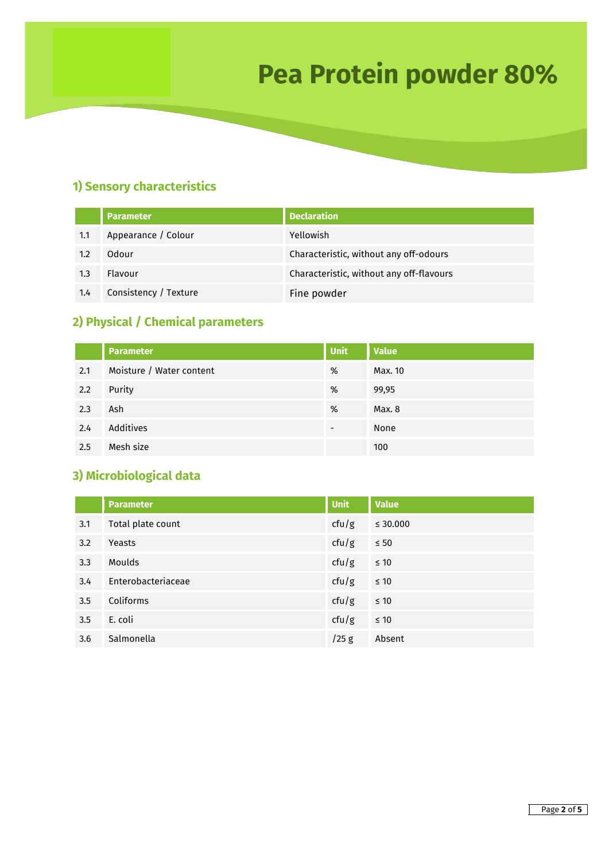### **1) Sensory characteristics**

|     | <b>Parameter</b>      | <b>Declaration</b>                       |
|-----|-----------------------|------------------------------------------|
| 1.1 | Appearance / Colour   | Yellowish                                |
| 1.2 | Odour                 | Characteristic, without any off-odours   |
| 1.3 | Flavour               | Characteristic, without any off-flavours |
| 1.4 | Consistency / Texture | Fine powder                              |

### **2) Physical / Chemical parameters**

|     | <b>Parameter</b>         | Unit                     | <b>Value</b> |
|-----|--------------------------|--------------------------|--------------|
| 2.1 | Moisture / Water content | %                        | Max. 10      |
| 2.2 | Purity                   | %                        | 99,95        |
| 2.3 | Ash                      | %                        | Max. 8       |
| 2.4 | Additives                | $\overline{\phantom{a}}$ | None         |
| 2.5 | Mesh size                |                          | 100          |

### **3) Microbiological data**

|     | <b>Parameter</b>   | <b>Unit</b> | <b>Value</b>  |
|-----|--------------------|-------------|---------------|
| 3.1 | Total plate count  | ctu/g       | $\leq 30.000$ |
| 3.2 | Yeasts             | ctu/g       | $\leq 50$     |
| 3.3 | <b>Moulds</b>      | ctu/g       | $\leq 10$     |
| 3.4 | Enterobacteriaceae | ctu/g       | $\leq 10$     |
| 3.5 | Coliforms          | ctu/g       | $\leq 10$     |
| 3.5 | E. coli            | ctu/g       | $\leq 10$     |
| 3.6 | Salmonella         | $/25$ g     | Absent        |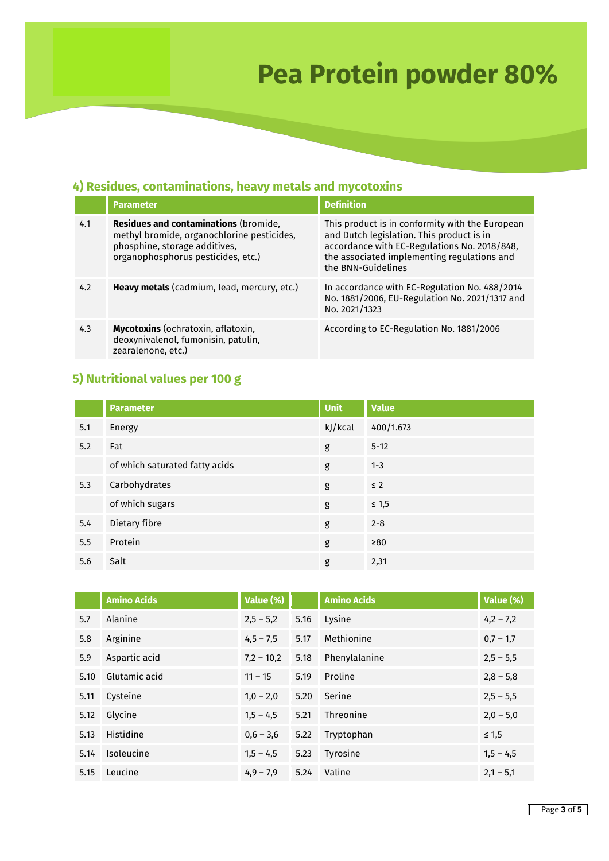### **4) Residues, contaminations, heavy metals and mycotoxins**

|     | <b>Parameter</b>                                                                                                                                                  | <b>Definition</b>                                                                                                                                                                                                 |
|-----|-------------------------------------------------------------------------------------------------------------------------------------------------------------------|-------------------------------------------------------------------------------------------------------------------------------------------------------------------------------------------------------------------|
| 4.1 | <b>Residues and contaminations (bromide,</b><br>methyl bromide, organochlorine pesticides,<br>phosphine, storage additives,<br>organophosphorus pesticides, etc.) | This product is in conformity with the European<br>and Dutch legislation. This product is in<br>accordance with EC-Regulations No. 2018/848,<br>the associated implementing regulations and<br>the BNN-Guidelines |
| 4.2 | Heavy metals (cadmium, lead, mercury, etc.)                                                                                                                       | In accordance with EC-Regulation No. 488/2014<br>No. 1881/2006, EU-Regulation No. 2021/1317 and<br>No. 2021/1323                                                                                                  |
| 4.3 | Mycotoxins (ochratoxin, aflatoxin,<br>deoxynivalenol, fumonisin, patulin,<br>zearalenone, etc.)                                                                   | According to EC-Regulation No. 1881/2006                                                                                                                                                                          |

### **5) Nutritional values per 100 g**

|     | <b>Parameter</b>               | <b>Unit</b> | <b>Value</b> |
|-----|--------------------------------|-------------|--------------|
| 5.1 | Energy                         | kJ/kcal     | 400/1.673    |
| 5.2 | Fat                            | g           | $5 - 12$     |
|     | of which saturated fatty acids | g           | $1 - 3$      |
| 5.3 | Carbohydrates                  | g           | $\leq$ 2     |
|     | of which sugars                | g           | $\leq 1,5$   |
| 5.4 | Dietary fibre                  | g           | $2 - 8$      |
| 5.5 | Protein                        | g           | $\geq 80$    |
| 5.6 | Salt                           | g           | 2,31         |

|      | <b>Amino Acids</b> | Value (%)    |      | <b>Amino Acids</b> | Value (%)   |
|------|--------------------|--------------|------|--------------------|-------------|
| 5.7  | Alanine            | $2,5 - 5,2$  | 5.16 | Lysine             | $4,2 - 7,2$ |
| 5.8  | Arginine           | $4,5 - 7,5$  | 5.17 | Methionine         | $0,7 - 1,7$ |
| 5.9  | Aspartic acid      | $7,2 - 10,2$ | 5.18 | Phenylalanine      | $2,5 - 5,5$ |
| 5.10 | Glutamic acid      | $11 - 15$    | 5.19 | Proline            | $2,8 - 5,8$ |
| 5.11 | Cysteine           | $1,0 - 2,0$  | 5.20 | Serine             | $2,5 - 5,5$ |
| 5.12 | Glycine            | $1,5 - 4,5$  | 5.21 | Threonine          | $2,0 - 5,0$ |
| 5.13 | Histidine          | $0,6 - 3,6$  | 5.22 | Tryptophan         | $\leq 1,5$  |
| 5.14 | <b>Isoleucine</b>  | $1,5 - 4,5$  | 5.23 | Tyrosine           | $1,5 - 4,5$ |
| 5.15 | Leucine            | $4,9 - 7,9$  | 5.24 | Valine             | $2,1 - 5,1$ |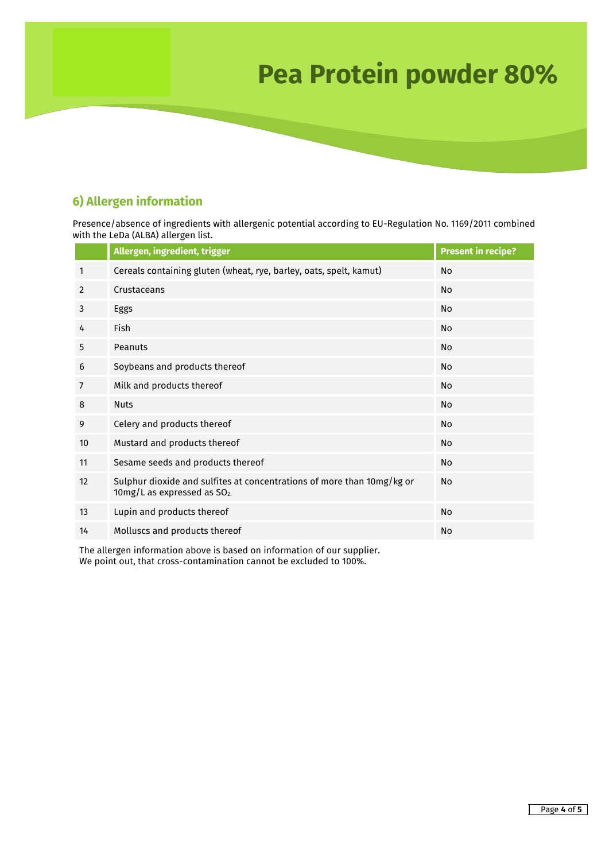### **6) Allergen information**

Presence/absence of ingredients with allergenic potential according to EU-Regulation No. 1169/2011 combined with the LeDa (ALBA) allergen list.

|                | Allergen, ingredient, trigger                                                                                     | <b>Present in recipe?</b> |
|----------------|-------------------------------------------------------------------------------------------------------------------|---------------------------|
| 1              | Cereals containing gluten (wheat, rye, barley, oats, spelt, kamut)                                                | No                        |
| 2              | Crustaceans                                                                                                       | No                        |
| 3              | Eggs                                                                                                              | <b>No</b>                 |
| 4              | <b>Fish</b>                                                                                                       | No                        |
| 5              | Peanuts                                                                                                           | N <sub>o</sub>            |
| 6              | Soybeans and products thereof                                                                                     | No                        |
| $\overline{7}$ | Milk and products thereof                                                                                         | No.                       |
| 8              | <b>Nuts</b>                                                                                                       | No                        |
| 9              | Celery and products thereof                                                                                       | No                        |
| 10             | Mustard and products thereof                                                                                      | No                        |
| 11             | Sesame seeds and products thereof                                                                                 | No                        |
| 12             | Sulphur dioxide and sulfites at concentrations of more than 10mg/kg or<br>10mg/L as expressed as SO <sub>2.</sub> | <b>No</b>                 |
| 13             | Lupin and products thereof                                                                                        | <b>No</b>                 |
| 14             | Molluscs and products thereof                                                                                     | <b>No</b>                 |

The allergen information above is based on information of our supplier. We point out, that cross-contamination cannot be excluded to 100%.